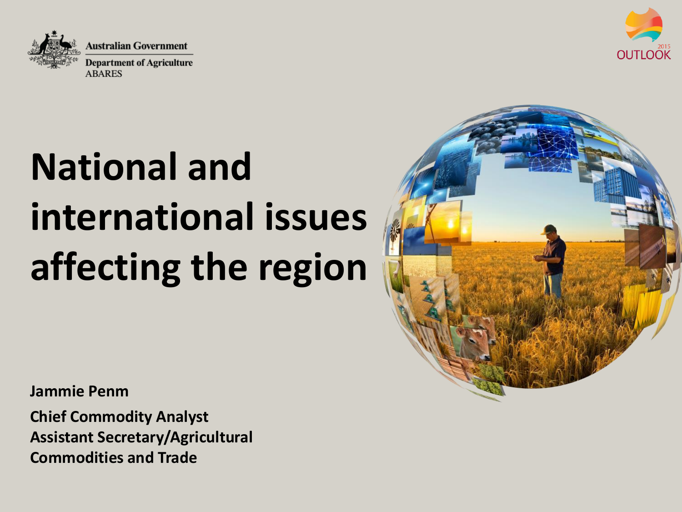



# **National and international issues affecting the region**

**Jammie Penm**

**Chief Commodity Analyst Assistant Secretary/Agricultural Commodities and Trade**

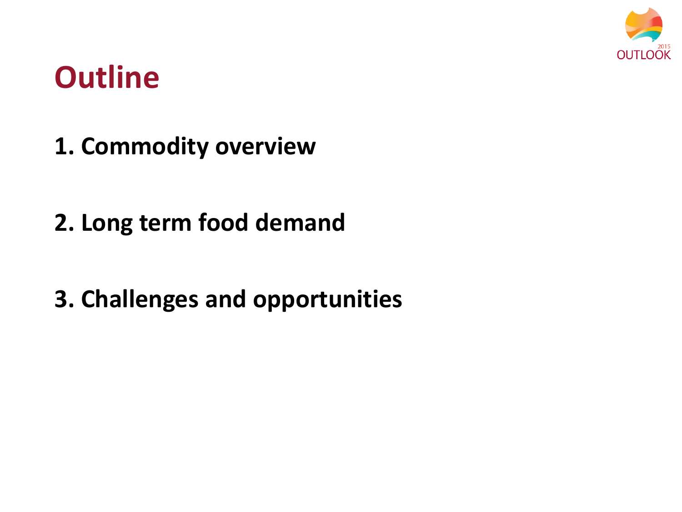

## **Outline**

- **1. Commodity overview**
- **2. Long term food demand**
- **3. Challenges and opportunities**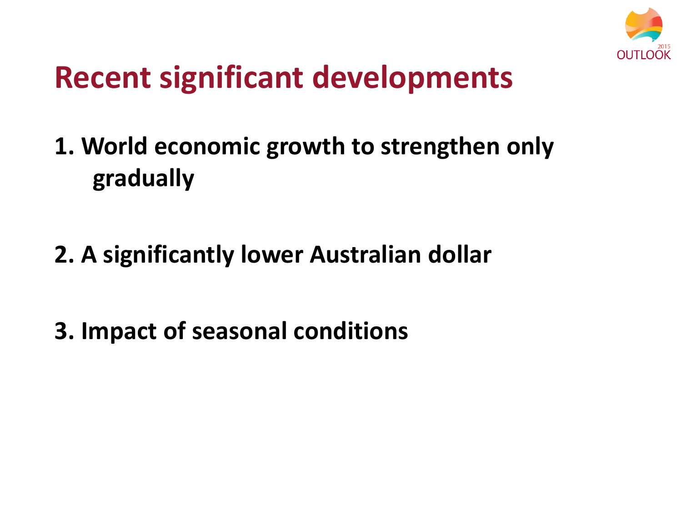

# **Recent significant developments**

- **1. World economic growth to strengthen only gradually**
- **2. A significantly lower Australian dollar**
- **3. Impact of seasonal conditions**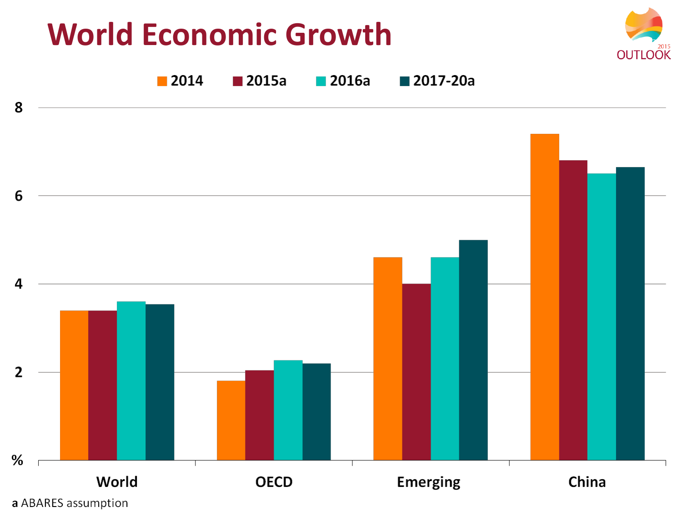## **World Economic Growth**





a ABARES assumption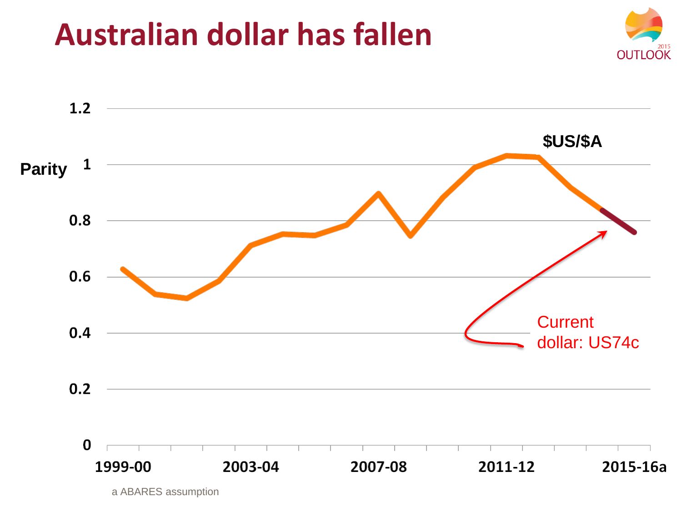## Australian dollar has fallen



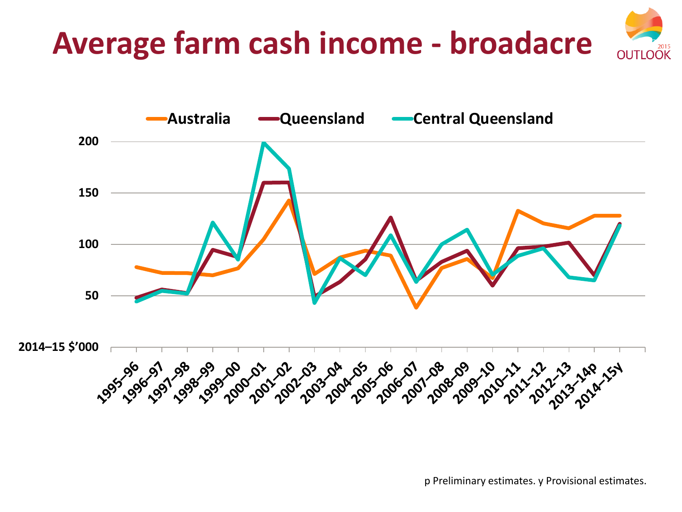#### **Average farm cash income - broadacre OUTLOOK**



p Preliminary estimates. y Provisional estimates.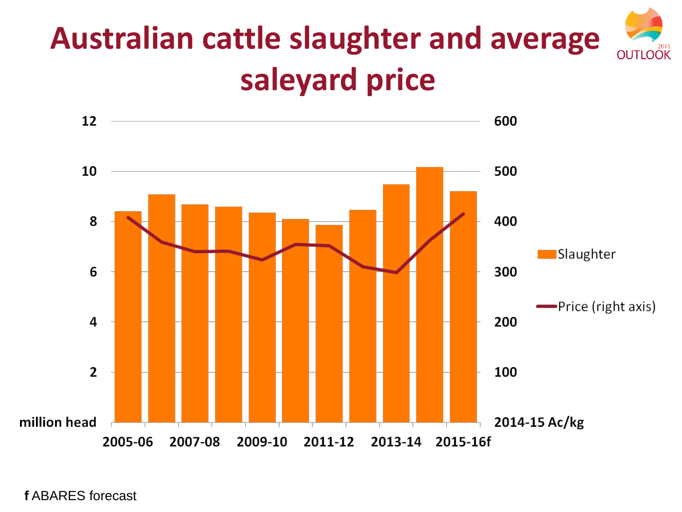### **Australian cattle slaughter and average OUTLOOK saleyard price**

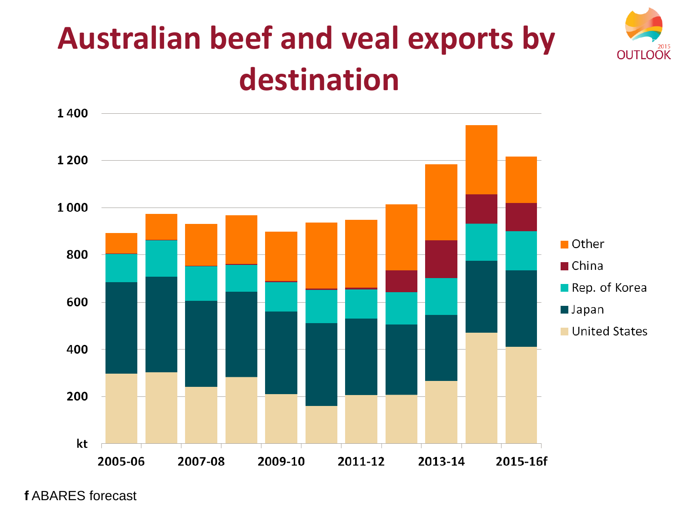

# **Australian beef and veal exports by destination**

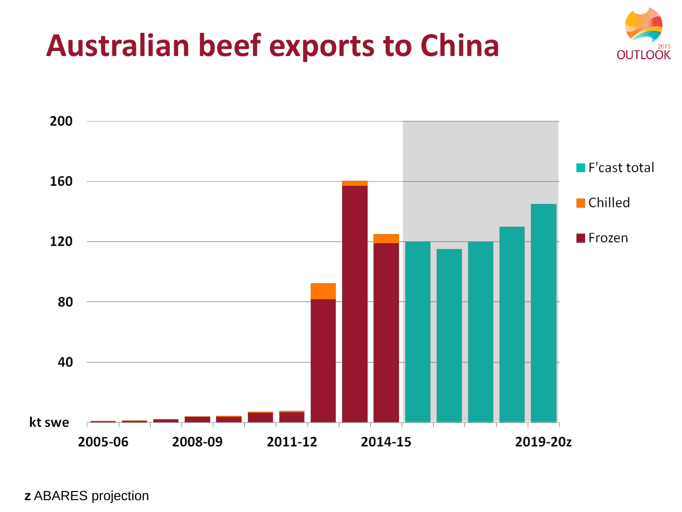



z ABARES projection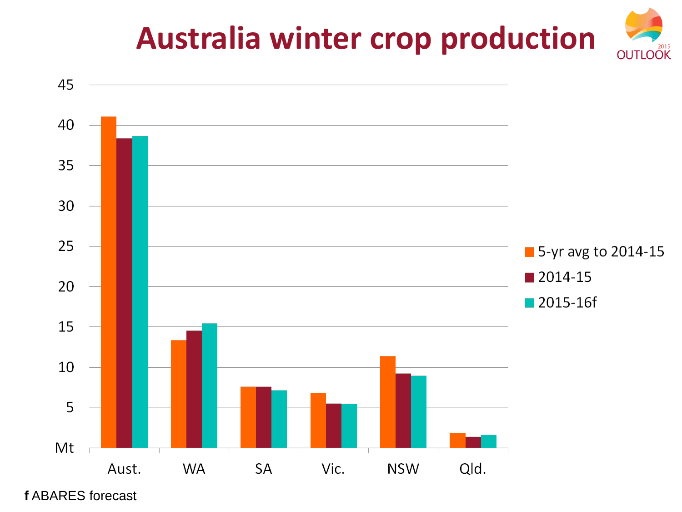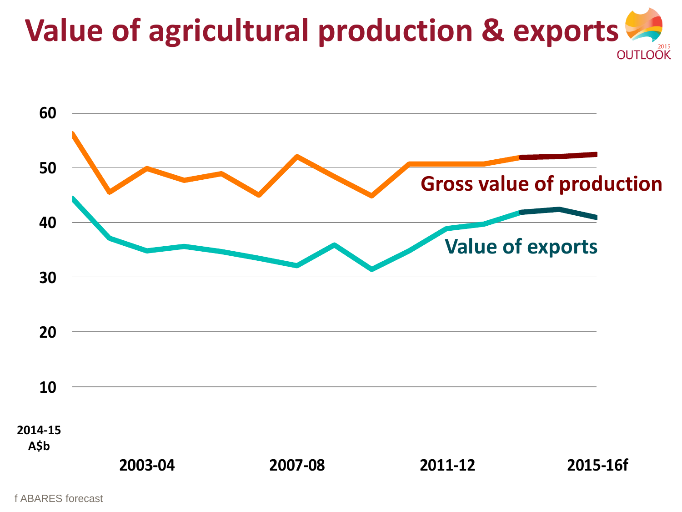# **Value of agricultural production & exports**

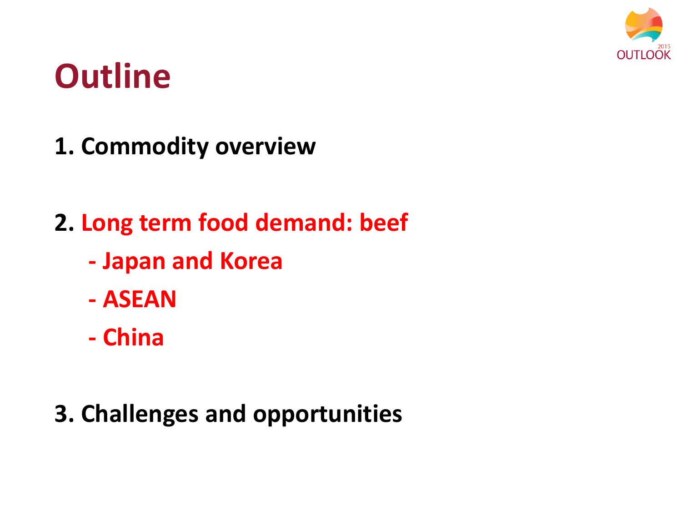

# **Outline**

- **1. Commodity overview**
- **2. Long term food demand: beef**
	- **- Japan and Korea**
	- **- ASEAN**
	- **- China**
- **3. Challenges and opportunities**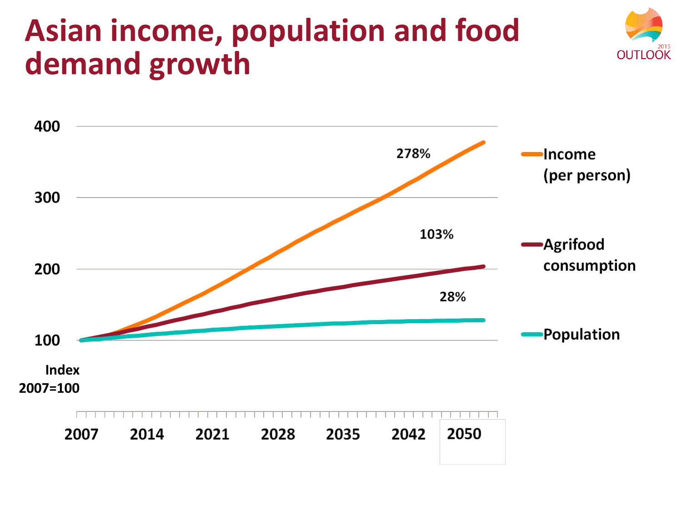## **Asian income, population and food demand growth**



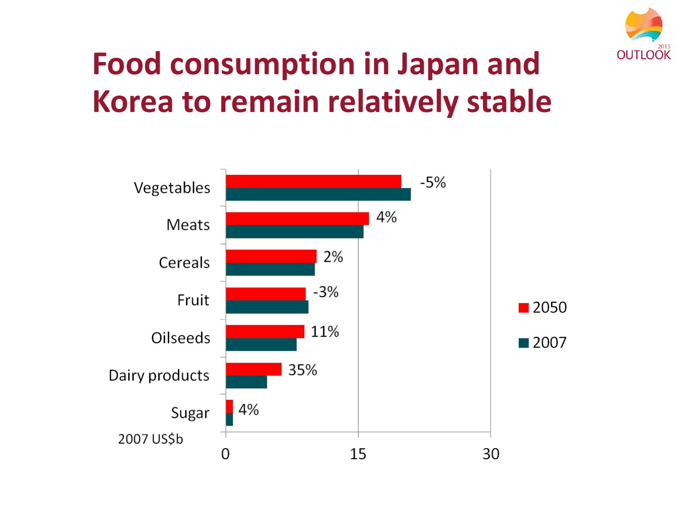

# **Food consumption in Japan and Korea to remain relatively stable**

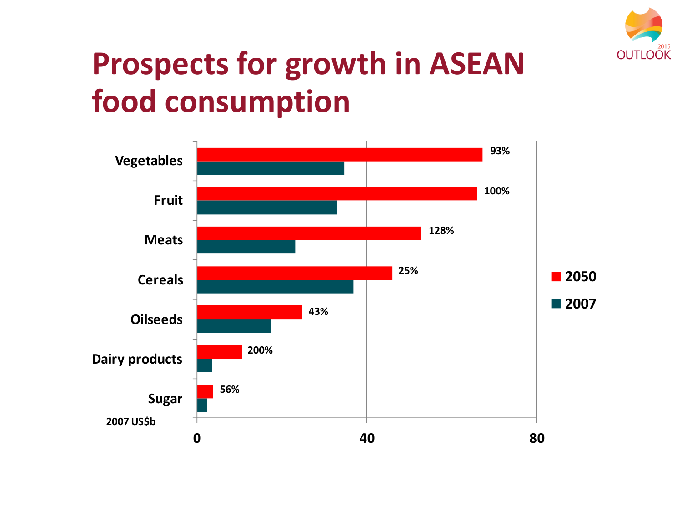

# **Prospects for growth in ASEAN food consumption**

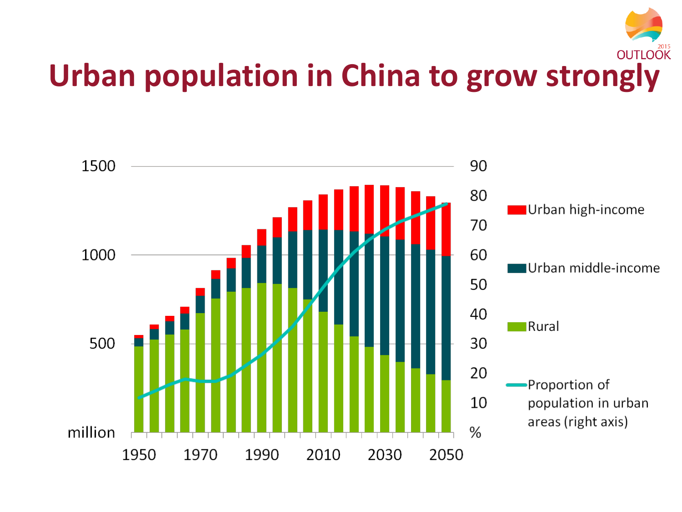# **Urban population in China to grow strongly**

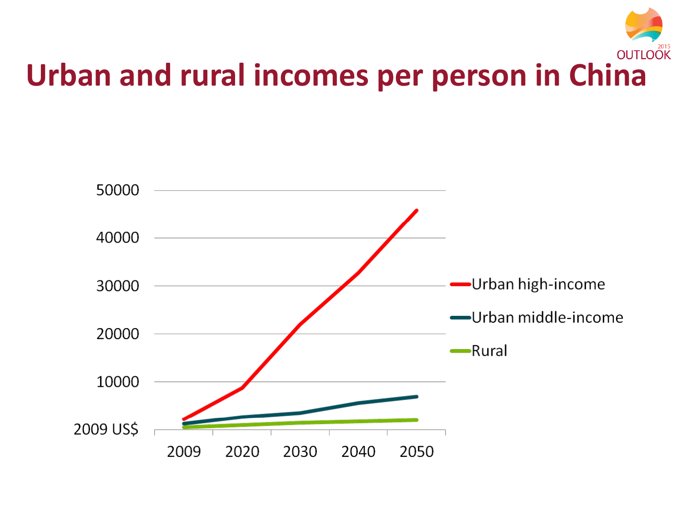# **Urban and rural incomes per person in China**

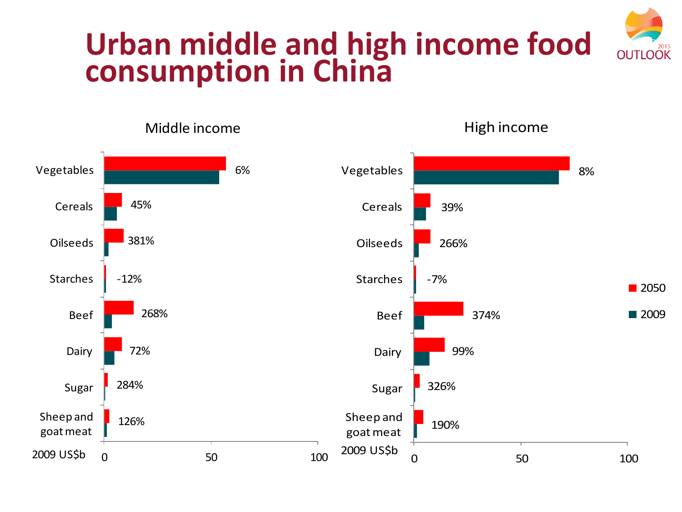#### **Urban middle and high income food OUTLOOK consumption in China**

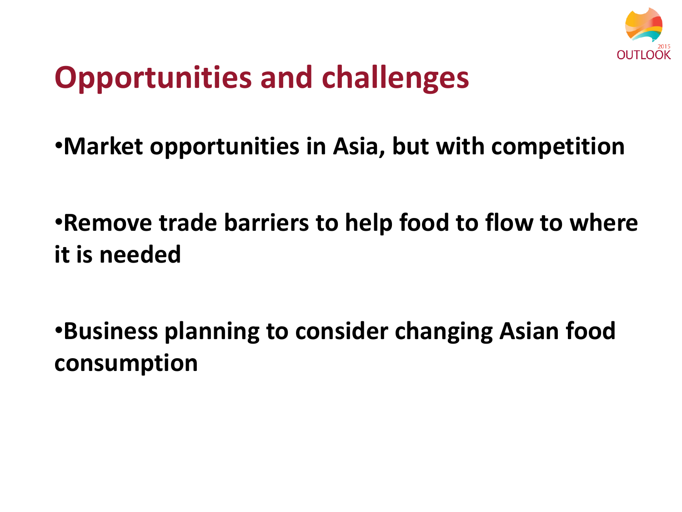

# **Opportunities and challenges**

- •**Market opportunities in Asia, but with competition**
- •**Remove trade barriers to help food to flow to where it is needed**
- •**Business planning to consider changing Asian food consumption**